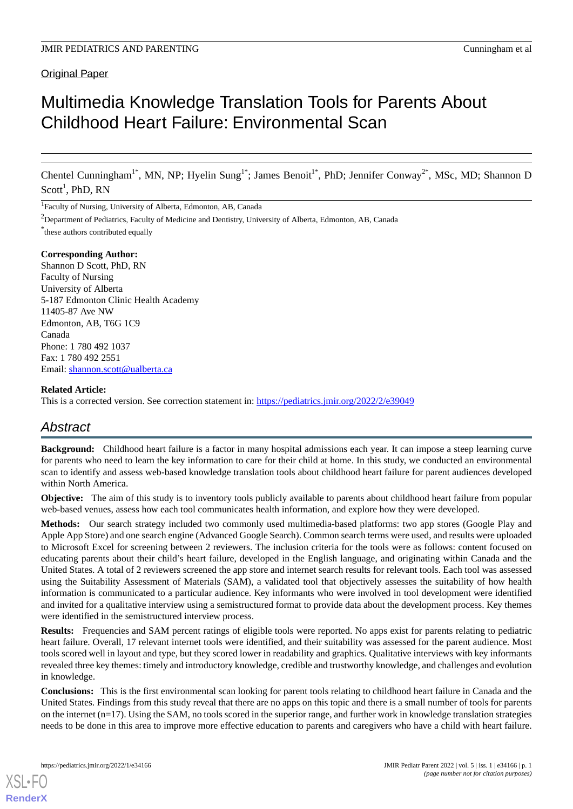# Multimedia Knowledge Translation Tools for Parents About Childhood Heart Failure: Environmental Scan

Chentel Cunningham<sup>1\*</sup>, MN, NP; Hyelin Sung<sup>1\*</sup>; James Benoit<sup>1\*</sup>, PhD; Jennifer Conway<sup>2\*</sup>, MSc, MD; Shannon D  $Scott<sup>1</sup>$ , PhD, RN

<sup>1</sup>Faculty of Nursing, University of Alberta, Edmonton, AB, Canada

<sup>2</sup>Department of Pediatrics, Faculty of Medicine and Dentistry, University of Alberta, Edmonton, AB, Canada

\* these authors contributed equally

#### **Corresponding Author:**

Shannon D Scott, PhD, RN Faculty of Nursing University of Alberta 5-187 Edmonton Clinic Health Academy 11405-87 Ave NW Edmonton, AB, T6G 1C9 Canada Phone: 1 780 492 1037 Fax: 1 780 492 2551 Email: [shannon.scott@ualberta.ca](mailto:shannon.scott@ualberta.ca)

## **Related Article:**

This is a corrected version. See correction statement in: <https://pediatrics.jmir.org/2022/2/e39049>

# *Abstract*

**Background:** Childhood heart failure is a factor in many hospital admissions each year. It can impose a steep learning curve for parents who need to learn the key information to care for their child at home. In this study, we conducted an environmental scan to identify and assess web-based knowledge translation tools about childhood heart failure for parent audiences developed within North America.

**Objective:** The aim of this study is to inventory tools publicly available to parents about childhood heart failure from popular web-based venues, assess how each tool communicates health information, and explore how they were developed.

**Methods:** Our search strategy included two commonly used multimedia-based platforms: two app stores (Google Play and Apple App Store) and one search engine (Advanced Google Search). Common search terms were used, and results were uploaded to Microsoft Excel for screening between 2 reviewers. The inclusion criteria for the tools were as follows: content focused on educating parents about their child's heart failure, developed in the English language, and originating within Canada and the United States. A total of 2 reviewers screened the app store and internet search results for relevant tools. Each tool was assessed using the Suitability Assessment of Materials (SAM), a validated tool that objectively assesses the suitability of how health information is communicated to a particular audience. Key informants who were involved in tool development were identified and invited for a qualitative interview using a semistructured format to provide data about the development process. Key themes were identified in the semistructured interview process.

**Results:** Frequencies and SAM percent ratings of eligible tools were reported. No apps exist for parents relating to pediatric heart failure. Overall, 17 relevant internet tools were identified, and their suitability was assessed for the parent audience. Most tools scored well in layout and type, but they scored lower in readability and graphics. Qualitative interviews with key informants revealed three key themes: timely and introductory knowledge, credible and trustworthy knowledge, and challenges and evolution in knowledge.

**Conclusions:** This is the first environmental scan looking for parent tools relating to childhood heart failure in Canada and the United States. Findings from this study reveal that there are no apps on this topic and there is a small number of tools for parents on the internet  $(n=17)$ . Using the SAM, no tools scored in the superior range, and further work in knowledge translation strategies needs to be done in this area to improve more effective education to parents and caregivers who have a child with heart failure.

[XSL](http://www.w3.org/Style/XSL)•FO **[RenderX](http://www.renderx.com/)**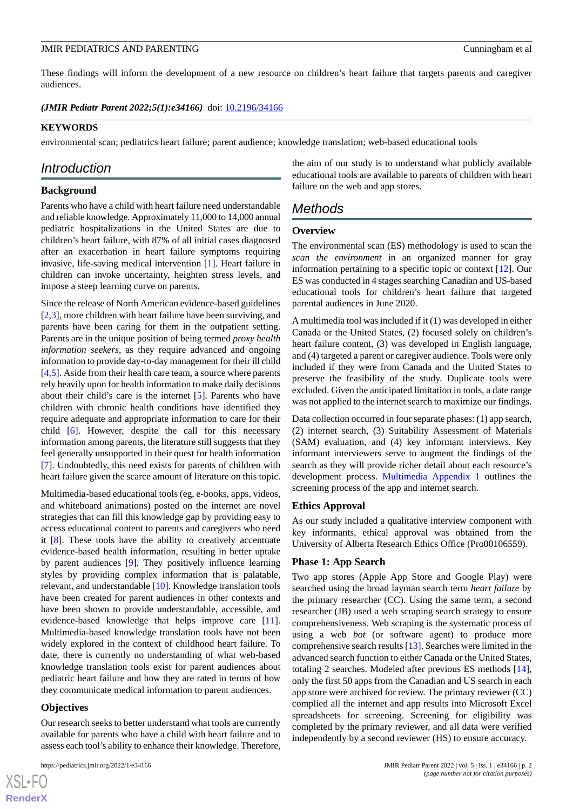These findings will inform the development of a new resource on children's heart failure that targets parents and caregiver audiences.

*(JMIR Pediatr Parent 2022;5(1):e34166)* doi: **[10.2196/34166](http://dx.doi.org/10.2196/34166)** 

#### **KEYWORDS**

environmental scan; pediatrics heart failure; parent audience; knowledge translation; web-based educational tools

## *Introduction*

## **Background**

Parents who have a child with heart failure need understandable and reliable knowledge. Approximately 11,000 to 14,000 annual pediatric hospitalizations in the United States are due to children's heart failure, with 87% of all initial cases diagnosed after an exacerbation in heart failure symptoms requiring invasive, life-saving medical intervention [[1](#page-6-0)]. Heart failure in children can invoke uncertainty, heighten stress levels, and impose a steep learning curve on parents.

Since the release of North American evidence-based guidelines [[2](#page-6-1)[,3](#page-6-2)], more children with heart failure have been surviving, and parents have been caring for them in the outpatient setting. Parents are in the unique position of being termed *proxy health information seekers*, as they require advanced and ongoing information to provide day-to-day management for their ill child [[4](#page-6-3)[,5](#page-7-0)]. Aside from their health care team, a source where parents rely heavily upon for health information to make daily decisions about their child's care is the internet [[5\]](#page-7-0). Parents who have children with chronic health conditions have identified they require adequate and appropriate information to care for their child [[6\]](#page-7-1). However, despite the call for this necessary information among parents, the literature still suggests that they feel generally unsupported in their quest for health information [[7\]](#page-7-2). Undoubtedly, this need exists for parents of children with heart failure given the scarce amount of literature on this topic.

Multimedia-based educational tools (eg, e-books, apps, videos, and whiteboard animations) posted on the internet are novel strategies that can fill this knowledge gap by providing easy to access educational content to parents and caregivers who need it [[8\]](#page-7-3). These tools have the ability to creatively accentuate evidence-based health information, resulting in better uptake by parent audiences [[9\]](#page-7-4). They positively influence learning styles by providing complex information that is palatable, relevant, and understandable [[10\]](#page-7-5). Knowledge translation tools have been created for parent audiences in other contexts and have been shown to provide understandable, accessible, and evidence-based knowledge that helps improve care [[11\]](#page-7-6). Multimedia-based knowledge translation tools have not been widely explored in the context of childhood heart failure. To date, there is currently no understanding of what web-based knowledge translation tools exist for parent audiences about pediatric heart failure and how they are rated in terms of how they communicate medical information to parent audiences.

#### **Objectives**

 $XS$  $\cdot$ FC **[RenderX](http://www.renderx.com/)**

Our research seeks to better understand what tools are currently available for parents who have a child with heart failure and to assess each tool's ability to enhance their knowledge. Therefore,

the aim of our study is to understand what publicly available educational tools are available to parents of children with heart failure on the web and app stores.

## *Methods*

#### **Overview**

The environmental scan (ES) methodology is used to scan the *scan the environment* in an organized manner for gray information pertaining to a specific topic or context [\[12](#page-7-7)]. Our ES was conducted in 4 stages searching Canadian and US-based educational tools for children's heart failure that targeted parental audiences in June 2020.

A multimedia tool was included if it (1) was developed in either Canada or the United States, (2) focused solely on children's heart failure content, (3) was developed in English language, and (4) targeted a parent or caregiver audience. Tools were only included if they were from Canada and the United States to preserve the feasibility of the study. Duplicate tools were excluded. Given the anticipated limitation in tools, a date range was not applied to the internet search to maximize our findings.

Data collection occurred in four separate phases: (1) app search, (2) internet search, (3) Suitability Assessment of Materials (SAM) evaluation, and (4) key informant interviews. Key informant interviewers serve to augment the findings of the search as they will provide richer detail about each resource's development process. [Multimedia Appendix 1](#page-6-4) outlines the screening process of the app and internet search.

#### **Ethics Approval**

As our study included a qualitative interview component with key informants, ethical approval was obtained from the University of Alberta Research Ethics Office (Pro00106559).

#### **Phase 1: App Search**

Two app stores (Apple App Store and Google Play) were searched using the broad layman search term *heart failure* by the primary researcher (CC). Using the same term, a second researcher (JB) used a web scraping search strategy to ensure comprehensiveness. Web scraping is the systematic process of using a web *bot* (or software agent) to produce more comprehensive search results [\[13](#page-7-8)]. Searches were limited in the advanced search function to either Canada or the United States, totaling 2 searches. Modeled after previous ES methods [[14\]](#page-7-9), only the first 50 apps from the Canadian and US search in each app store were archived for review. The primary reviewer (CC) complied all the internet and app results into Microsoft Excel spreadsheets for screening. Screening for eligibility was completed by the primary reviewer, and all data were verified independently by a second reviewer (HS) to ensure accuracy.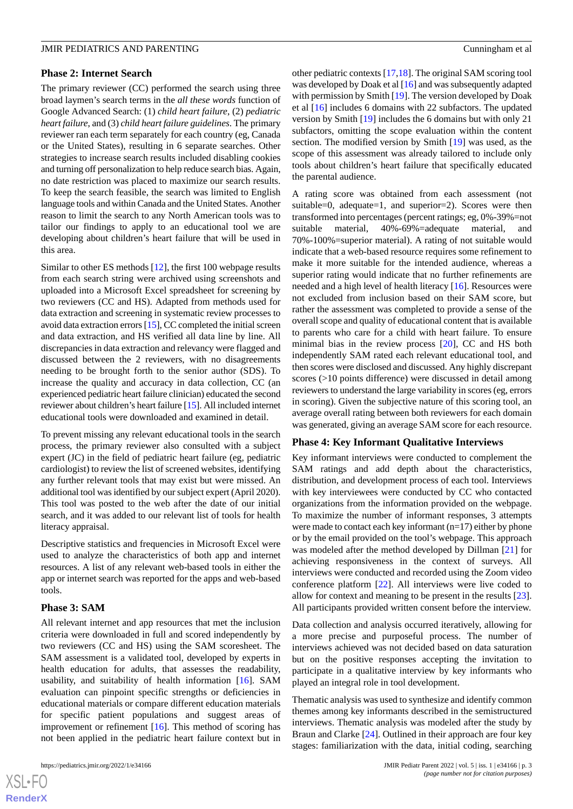#### **Phase 2: Internet Search**

The primary reviewer (CC) performed the search using three broad laymen's search terms in the *all these words* function of Google Advanced Search: (1) *child heart failure*, (2) *pediatric heart failure*, and (3) *child heart failure guidelines*. The primary reviewer ran each term separately for each country (eg, Canada or the United States), resulting in 6 separate searches. Other strategies to increase search results included disabling cookies and turning off personalization to help reduce search bias. Again, no date restriction was placed to maximize our search results. To keep the search feasible, the search was limited to English language tools and within Canada and the United States. Another reason to limit the search to any North American tools was to tailor our findings to apply to an educational tool we are developing about children's heart failure that will be used in this area.

Similar to other ES methods [\[12](#page-7-7)], the first 100 webpage results from each search string were archived using screenshots and uploaded into a Microsoft Excel spreadsheet for screening by two reviewers (CC and HS). Adapted from methods used for data extraction and screening in systematic review processes to avoid data extraction errors [[15\]](#page-7-10), CC completed the initial screen and data extraction, and HS verified all data line by line. All discrepancies in data extraction and relevancy were flagged and discussed between the 2 reviewers, with no disagreements needing to be brought forth to the senior author (SDS). To increase the quality and accuracy in data collection, CC (an experienced pediatric heart failure clinician) educated the second reviewer about children's heart failure [\[15](#page-7-10)]. All included internet educational tools were downloaded and examined in detail.

To prevent missing any relevant educational tools in the search process, the primary reviewer also consulted with a subject expert (JC) in the field of pediatric heart failure (eg, pediatric cardiologist) to review the list of screened websites, identifying any further relevant tools that may exist but were missed. An additional tool was identified by our subject expert (April 2020). This tool was posted to the web after the date of our initial search, and it was added to our relevant list of tools for health literacy appraisal.

Descriptive statistics and frequencies in Microsoft Excel were used to analyze the characteristics of both app and internet resources. A list of any relevant web-based tools in either the app or internet search was reported for the apps and web-based tools.

## **Phase 3: SAM**

All relevant internet and app resources that met the inclusion criteria were downloaded in full and scored independently by two reviewers (CC and HS) using the SAM scoresheet. The SAM assessment is a validated tool, developed by experts in health education for adults, that assesses the readability, usability, and suitability of health information [[16\]](#page-7-11). SAM evaluation can pinpoint specific strengths or deficiencies in educational materials or compare different education materials for specific patient populations and suggest areas of improvement or refinement  $[16]$  $[16]$ . This method of scoring has not been applied in the pediatric heart failure context but in

other pediatric contexts [[17,](#page-7-12)[18\]](#page-7-13). The original SAM scoring tool was developed by Doak et al [[16\]](#page-7-11) and was subsequently adapted with permission by Smith [\[19](#page-7-14)]. The version developed by Doak et al [[16\]](#page-7-11) includes 6 domains with 22 subfactors. The updated version by Smith [\[19](#page-7-14)] includes the 6 domains but with only 21 subfactors, omitting the scope evaluation within the content section. The modified version by Smith [\[19](#page-7-14)] was used, as the scope of this assessment was already tailored to include only tools about children's heart failure that specifically educated the parental audience.

A rating score was obtained from each assessment (not suitable=0, adequate=1, and superior=2). Scores were then transformed into percentages (percent ratings; eg, 0%-39%=not suitable material, 40%-69%=adequate material, and 70%-100%=superior material). A rating of not suitable would indicate that a web-based resource requires some refinement to make it more suitable for the intended audience, whereas a superior rating would indicate that no further refinements are needed and a high level of health literacy [[16\]](#page-7-11). Resources were not excluded from inclusion based on their SAM score, but rather the assessment was completed to provide a sense of the overall scope and quality of educational content that is available to parents who care for a child with heart failure. To ensure minimal bias in the review process [\[20](#page-7-15)], CC and HS both independently SAM rated each relevant educational tool, and then scores were disclosed and discussed. Any highly discrepant scores (>10 points difference) were discussed in detail among reviewers to understand the large variability in scores (eg, errors in scoring). Given the subjective nature of this scoring tool, an average overall rating between both reviewers for each domain was generated, giving an average SAM score for each resource.

#### **Phase 4: Key Informant Qualitative Interviews**

Key informant interviews were conducted to complement the SAM ratings and add depth about the characteristics, distribution, and development process of each tool. Interviews with key interviewees were conducted by CC who contacted organizations from the information provided on the webpage. To maximize the number of informant responses, 3 attempts were made to contact each key informant (n=17) either by phone or by the email provided on the tool's webpage. This approach was modeled after the method developed by Dillman [[21\]](#page-7-16) for achieving responsiveness in the context of surveys. All interviews were conducted and recorded using the Zoom video conference platform [\[22](#page-7-17)]. All interviews were live coded to allow for context and meaning to be present in the results [[23\]](#page-7-18). All participants provided written consent before the interview.

Data collection and analysis occurred iteratively, allowing for a more precise and purposeful process. The number of interviews achieved was not decided based on data saturation but on the positive responses accepting the invitation to participate in a qualitative interview by key informants who played an integral role in tool development.

Thematic analysis was used to synthesize and identify common themes among key informants described in the semistructured interviews. Thematic analysis was modeled after the study by Braun and Clarke [[24\]](#page-7-19). Outlined in their approach are four key stages: familiarization with the data, initial coding, searching

 $XS$  $\cdot$ FC **[RenderX](http://www.renderx.com/)**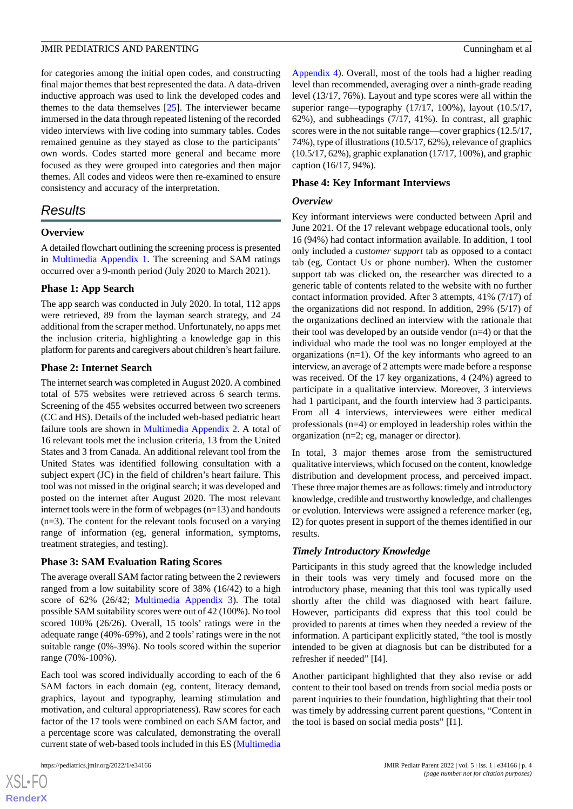for categories among the initial open codes, and constructing final major themes that best represented the data. A data-driven inductive approach was used to link the developed codes and themes to the data themselves  $[25]$  $[25]$ . The interviewer became immersed in the data through repeated listening of the recorded video interviews with live coding into summary tables. Codes remained genuine as they stayed as close to the participants' own words. Codes started more general and became more focused as they were grouped into categories and then major themes. All codes and videos were then re-examined to ensure consistency and accuracy of the interpretation.

## *Results*

## **Overview**

A detailed flowchart outlining the screening process is presented in [Multimedia Appendix 1.](#page-6-4) The screening and SAM ratings occurred over a 9-month period (July 2020 to March 2021).

## **Phase 1: App Search**

The app search was conducted in July 2020. In total, 112 apps were retrieved, 89 from the layman search strategy, and 24 additional from the scraper method. Unfortunately, no apps met the inclusion criteria, highlighting a knowledge gap in this platform for parents and caregivers about children's heart failure.

## **Phase 2: Internet Search**

The internet search was completed in August 2020. A combined total of 575 websites were retrieved across 6 search terms. Screening of the 455 websites occurred between two screeners (CC and HS). Details of the included web-based pediatric heart failure tools are shown in [Multimedia Appendix 2](#page-6-5). A total of 16 relevant tools met the inclusion criteria, 13 from the United States and 3 from Canada. An additional relevant tool from the United States was identified following consultation with a subject expert (JC) in the field of children's heart failure. This tool was not missed in the original search; it was developed and posted on the internet after August 2020. The most relevant internet tools were in the form of webpages (n=13) and handouts (n=3). The content for the relevant tools focused on a varying range of information (eg, general information, symptoms, treatment strategies, and testing).

## **Phase 3: SAM Evaluation Rating Scores**

The average overall SAM factor rating between the 2 reviewers ranged from a low suitability score of 38% (16/42) to a high score of 62% (26/42; [Multimedia Appendix 3\)](#page-6-6). The total possible SAM suitability scores were out of 42 (100%). No tool scored 100% (26/26). Overall, 15 tools' ratings were in the adequate range (40%-69%), and 2 tools'ratings were in the not suitable range (0%-39%). No tools scored within the superior range (70%-100%).

Each tool was scored individually according to each of the 6 SAM factors in each domain (eg, content, literacy demand, graphics, layout and typography, learning stimulation and motivation, and cultural appropriateness). Raw scores for each factor of the 17 tools were combined on each SAM factor, and a percentage score was calculated, demonstrating the overall current state of web-based tools included in this ES ([Multimedia](#page-6-7)

[Appendix 4](#page-6-7)). Overall, most of the tools had a higher reading level than recommended, averaging over a ninth-grade reading level (13/17, 76%). Layout and type scores were all within the superior range—typography (17/17, 100%), layout (10.5/17, 62%), and subheadings (7/17, 41%). In contrast, all graphic scores were in the not suitable range—cover graphics (12.5/17, 74%), type of illustrations (10.5/17, 62%), relevance of graphics (10.5/17, 62%), graphic explanation (17/17, 100%), and graphic caption (16/17, 94%).

## **Phase 4: Key Informant Interviews**

#### *Overview*

Key informant interviews were conducted between April and June 2021. Of the 17 relevant webpage educational tools, only 16 (94%) had contact information available. In addition, 1 tool only included a *customer support* tab as opposed to a contact tab (eg, Contact Us or phone number). When the customer support tab was clicked on, the researcher was directed to a generic table of contents related to the website with no further contact information provided. After 3 attempts, 41% (7/17) of the organizations did not respond. In addition, 29% (5/17) of the organizations declined an interview with the rationale that their tool was developed by an outside vendor  $(n=4)$  or that the individual who made the tool was no longer employed at the organizations (n=1). Of the key informants who agreed to an interview, an average of 2 attempts were made before a response was received. Of the 17 key organizations, 4 (24%) agreed to participate in a qualitative interview. Moreover, 3 interviews had 1 participant, and the fourth interview had 3 participants. From all 4 interviews, interviewees were either medical professionals (n=4) or employed in leadership roles within the organization (n=2; eg, manager or director).

In total, 3 major themes arose from the semistructured qualitative interviews, which focused on the content, knowledge distribution and development process, and perceived impact. These three major themes are as follows: timely and introductory knowledge, credible and trustworthy knowledge, and challenges or evolution. Interviews were assigned a reference marker (eg, I2) for quotes present in support of the themes identified in our results.

## *Timely Introductory Knowledge*

Participants in this study agreed that the knowledge included in their tools was very timely and focused more on the introductory phase, meaning that this tool was typically used shortly after the child was diagnosed with heart failure. However, participants did express that this tool could be provided to parents at times when they needed a review of the information. A participant explicitly stated, "the tool is mostly intended to be given at diagnosis but can be distributed for a refresher if needed" [I4].

Another participant highlighted that they also revise or add content to their tool based on trends from social media posts or parent inquiries to their foundation, highlighting that their tool was timely by addressing current parent questions, "Content in the tool is based on social media posts" [I1].

 $XSI - F($ **[RenderX](http://www.renderx.com/)**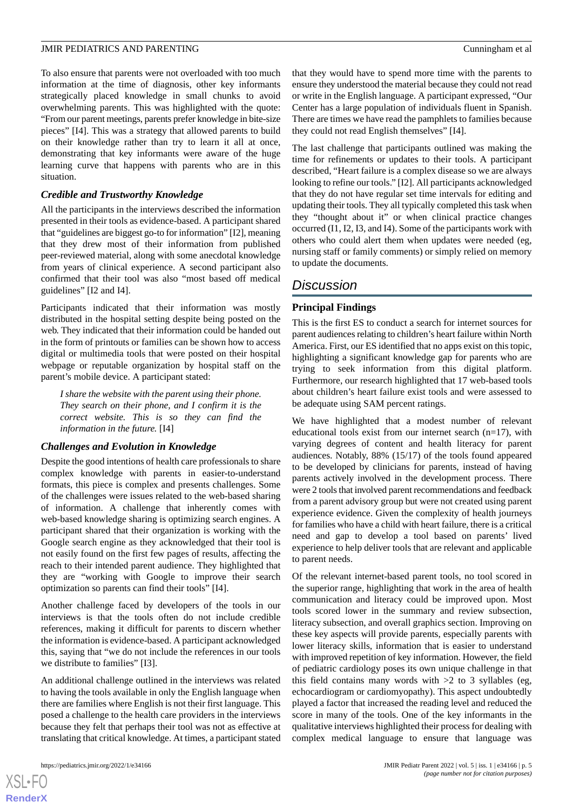To also ensure that parents were not overloaded with too much information at the time of diagnosis, other key informants strategically placed knowledge in small chunks to avoid overwhelming parents. This was highlighted with the quote: "From our parent meetings, parents prefer knowledge in bite-size pieces" [I4]. This was a strategy that allowed parents to build on their knowledge rather than try to learn it all at once, demonstrating that key informants were aware of the huge learning curve that happens with parents who are in this situation.

## *Credible and Trustworthy Knowledge*

All the participants in the interviews described the information presented in their tools as evidence-based. A participant shared that "guidelines are biggest go-to for information" [I2], meaning that they drew most of their information from published peer-reviewed material, along with some anecdotal knowledge from years of clinical experience. A second participant also confirmed that their tool was also "most based off medical guidelines" [I2 and I4].

Participants indicated that their information was mostly distributed in the hospital setting despite being posted on the web. They indicated that their information could be handed out in the form of printouts or families can be shown how to access digital or multimedia tools that were posted on their hospital webpage or reputable organization by hospital staff on the parent's mobile device. A participant stated:

*I share the website with the parent using their phone. They search on their phone, and I confirm it is the correct website. This is so they can find the information in the future.* [I4]

## *Challenges and Evolution in Knowledge*

Despite the good intentions of health care professionals to share complex knowledge with parents in easier-to-understand formats, this piece is complex and presents challenges. Some of the challenges were issues related to the web-based sharing of information. A challenge that inherently comes with web-based knowledge sharing is optimizing search engines. A participant shared that their organization is working with the Google search engine as they acknowledged that their tool is not easily found on the first few pages of results, affecting the reach to their intended parent audience. They highlighted that they are "working with Google to improve their search optimization so parents can find their tools" [I4].

Another challenge faced by developers of the tools in our interviews is that the tools often do not include credible references, making it difficult for parents to discern whether the information is evidence-based. A participant acknowledged this, saying that "we do not include the references in our tools we distribute to families" [I3].

An additional challenge outlined in the interviews was related to having the tools available in only the English language when there are families where English is not their first language. This posed a challenge to the health care providers in the interviews because they felt that perhaps their tool was not as effective at translating that critical knowledge. At times, a participant stated that they would have to spend more time with the parents to ensure they understood the material because they could not read or write in the English language. A participant expressed, "Our Center has a large population of individuals fluent in Spanish. There are times we have read the pamphlets to families because they could not read English themselves" [I4].

The last challenge that participants outlined was making the time for refinements or updates to their tools. A participant described, "Heart failure is a complex disease so we are always looking to refine our tools." [I2]. All participants acknowledged that they do not have regular set time intervals for editing and updating their tools. They all typically completed this task when they "thought about it" or when clinical practice changes occurred (I1, I2, I3, and I4). Some of the participants work with others who could alert them when updates were needed (eg, nursing staff or family comments) or simply relied on memory to update the documents.

## *Discussion*

## **Principal Findings**

This is the first ES to conduct a search for internet sources for parent audiences relating to children's heart failure within North America. First, our ES identified that no apps exist on this topic, highlighting a significant knowledge gap for parents who are trying to seek information from this digital platform. Furthermore, our research highlighted that 17 web-based tools about children's heart failure exist tools and were assessed to be adequate using SAM percent ratings.

We have highlighted that a modest number of relevant educational tools exist from our internet search  $(n=17)$ , with varying degrees of content and health literacy for parent audiences. Notably, 88% (15/17) of the tools found appeared to be developed by clinicians for parents, instead of having parents actively involved in the development process. There were 2 tools that involved parent recommendations and feedback from a parent advisory group but were not created using parent experience evidence. Given the complexity of health journeys for families who have a child with heart failure, there is a critical need and gap to develop a tool based on parents' lived experience to help deliver tools that are relevant and applicable to parent needs.

Of the relevant internet-based parent tools, no tool scored in the superior range, highlighting that work in the area of health communication and literacy could be improved upon. Most tools scored lower in the summary and review subsection, literacy subsection, and overall graphics section. Improving on these key aspects will provide parents, especially parents with lower literacy skills, information that is easier to understand with improved repetition of key information. However, the field of pediatric cardiology poses its own unique challenge in that this field contains many words with  $>2$  to 3 syllables (eg, echocardiogram or cardiomyopathy). This aspect undoubtedly played a factor that increased the reading level and reduced the score in many of the tools. One of the key informants in the qualitative interviews highlighted their process for dealing with complex medical language to ensure that language was

```
XSL•FO
RenderX
```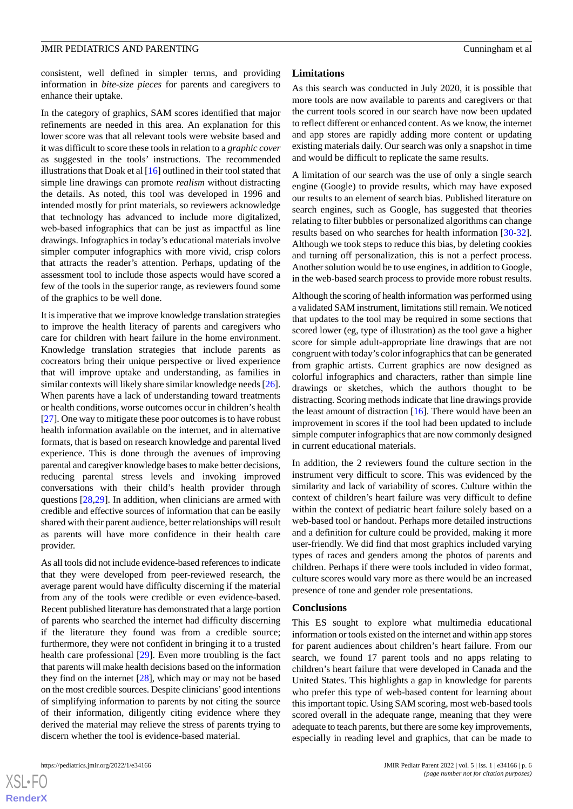consistent, well defined in simpler terms, and providing information in *bite-size pieces* for parents and caregivers to enhance their uptake.

In the category of graphics, SAM scores identified that major refinements are needed in this area. An explanation for this lower score was that all relevant tools were website based and it was difficult to score these tools in relation to a *graphic cover* as suggested in the tools' instructions. The recommended illustrations that Doak et al [[16\]](#page-7-11) outlined in their tool stated that simple line drawings can promote *realism* without distracting the details. As noted, this tool was developed in 1996 and intended mostly for print materials, so reviewers acknowledge that technology has advanced to include more digitalized, web-based infographics that can be just as impactful as line drawings. Infographics in today's educational materials involve simpler computer infographics with more vivid, crisp colors that attracts the reader's attention. Perhaps, updating of the assessment tool to include those aspects would have scored a few of the tools in the superior range, as reviewers found some of the graphics to be well done.

It is imperative that we improve knowledge translation strategies to improve the health literacy of parents and caregivers who care for children with heart failure in the home environment. Knowledge translation strategies that include parents as cocreators bring their unique perspective or lived experience that will improve uptake and understanding, as families in similar contexts will likely share similar knowledge needs [[26\]](#page-7-21). When parents have a lack of understanding toward treatments or health conditions, worse outcomes occur in children's health [[27\]](#page-7-22). One way to mitigate these poor outcomes is to have robust health information available on the internet, and in alternative formats, that is based on research knowledge and parental lived experience. This is done through the avenues of improving parental and caregiver knowledge bases to make better decisions, reducing parental stress levels and invoking improved conversations with their child's health provider through questions [\[28](#page-7-23),[29\]](#page-7-24). In addition, when clinicians are armed with credible and effective sources of information that can be easily shared with their parent audience, better relationships will result as parents will have more confidence in their health care provider.

As all tools did not include evidence-based references to indicate that they were developed from peer-reviewed research, the average parent would have difficulty discerning if the material from any of the tools were credible or even evidence-based. Recent published literature has demonstrated that a large portion of parents who searched the internet had difficulty discerning if the literature they found was from a credible source; furthermore, they were not confident in bringing it to a trusted health care professional [\[29](#page-7-24)]. Even more troubling is the fact that parents will make health decisions based on the information they find on the internet  $[28]$  $[28]$ , which may or may not be based on the most credible sources. Despite clinicians'good intentions of simplifying information to parents by not citing the source of their information, diligently citing evidence where they derived the material may relieve the stress of parents trying to discern whether the tool is evidence-based material.

 $XS$  $\cdot$ FC **[RenderX](http://www.renderx.com/)**

## **Limitations**

As this search was conducted in July 2020, it is possible that more tools are now available to parents and caregivers or that the current tools scored in our search have now been updated to reflect different or enhanced content. As we know, the internet and app stores are rapidly adding more content or updating existing materials daily. Our search was only a snapshot in time and would be difficult to replicate the same results.

A limitation of our search was the use of only a single search engine (Google) to provide results, which may have exposed our results to an element of search bias. Published literature on search engines, such as Google, has suggested that theories relating to filter bubbles or personalized algorithms can change results based on who searches for health information [[30-](#page-7-25)[32\]](#page-8-0). Although we took steps to reduce this bias, by deleting cookies and turning off personalization, this is not a perfect process. Another solution would be to use engines, in addition to Google, in the web-based search process to provide more robust results.

Although the scoring of health information was performed using a validated SAM instrument, limitations still remain. We noticed that updates to the tool may be required in some sections that scored lower (eg, type of illustration) as the tool gave a higher score for simple adult-appropriate line drawings that are not congruent with today's color infographics that can be generated from graphic artists. Current graphics are now designed as colorful infographics and characters, rather than simple line drawings or sketches, which the authors thought to be distracting. Scoring methods indicate that line drawings provide the least amount of distraction  $[16]$  $[16]$ . There would have been an improvement in scores if the tool had been updated to include simple computer infographics that are now commonly designed in current educational materials.

In addition, the 2 reviewers found the culture section in the instrument very difficult to score. This was evidenced by the similarity and lack of variability of scores. Culture within the context of children's heart failure was very difficult to define within the context of pediatric heart failure solely based on a web-based tool or handout. Perhaps more detailed instructions and a definition for culture could be provided, making it more user-friendly. We did find that most graphics included varying types of races and genders among the photos of parents and children. Perhaps if there were tools included in video format, culture scores would vary more as there would be an increased presence of tone and gender role presentations.

#### **Conclusions**

This ES sought to explore what multimedia educational information or tools existed on the internet and within app stores for parent audiences about children's heart failure. From our search, we found 17 parent tools and no apps relating to children's heart failure that were developed in Canada and the United States. This highlights a gap in knowledge for parents who prefer this type of web-based content for learning about this important topic. Using SAM scoring, most web-based tools scored overall in the adequate range, meaning that they were adequate to teach parents, but there are some key improvements, especially in reading level and graphics, that can be made to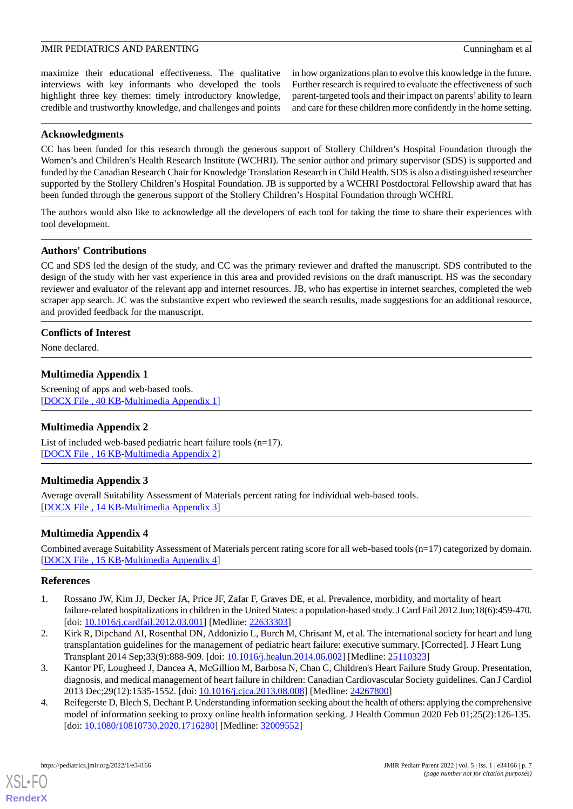maximize their educational effectiveness. The qualitative interviews with key informants who developed the tools highlight three key themes: timely introductory knowledge, credible and trustworthy knowledge, and challenges and points

in how organizations plan to evolve this knowledge in the future. Further research is required to evaluate the effectiveness of such parent-targeted tools and their impact on parents' ability to learn and care for these children more confidently in the home setting.

## **Acknowledgments**

CC has been funded for this research through the generous support of Stollery Children's Hospital Foundation through the Women's and Children's Health Research Institute (WCHRI). The senior author and primary supervisor (SDS) is supported and funded by the Canadian Research Chair for Knowledge Translation Research in Child Health. SDS is also a distinguished researcher supported by the Stollery Children's Hospital Foundation. JB is supported by a WCHRI Postdoctoral Fellowship award that has been funded through the generous support of the Stollery Children's Hospital Foundation through WCHRI.

The authors would also like to acknowledge all the developers of each tool for taking the time to share their experiences with tool development.

## **Authors' Contributions**

CC and SDS led the design of the study, and CC was the primary reviewer and drafted the manuscript. SDS contributed to the design of the study with her vast experience in this area and provided revisions on the draft manuscript. HS was the secondary reviewer and evaluator of the relevant app and internet resources. JB, who has expertise in internet searches, completed the web scraper app search. JC was the substantive expert who reviewed the search results, made suggestions for an additional resource, and provided feedback for the manuscript.

## <span id="page-6-4"></span>**Conflicts of Interest**

None declared.

## **Multimedia Appendix 1**

<span id="page-6-5"></span>Screening of apps and web-based tools. [[DOCX File , 40 KB](https://jmir.org/api/download?alt_name=pediatrics_v5i1e34166_app1.docx&filename=4b12b2c204ef821bc3e2281245c71b60.docx)-[Multimedia Appendix 1\]](https://jmir.org/api/download?alt_name=pediatrics_v5i1e34166_app1.docx&filename=4b12b2c204ef821bc3e2281245c71b60.docx)

## <span id="page-6-6"></span>**Multimedia Appendix 2**

List of included web-based pediatric heart failure tools (n=17). [[DOCX File , 16 KB](https://jmir.org/api/download?alt_name=pediatrics_v5i1e34166_app2.docx&filename=6ae90c7b9cbd2cb4f0f2bdd7f7c568bb.docx)-[Multimedia Appendix 2\]](https://jmir.org/api/download?alt_name=pediatrics_v5i1e34166_app2.docx&filename=6ae90c7b9cbd2cb4f0f2bdd7f7c568bb.docx)

## <span id="page-6-7"></span>**Multimedia Appendix 3**

Average overall Suitability Assessment of Materials percent rating for individual web-based tools. [[DOCX File , 14 KB](https://jmir.org/api/download?alt_name=pediatrics_v5i1e34166_app3.docx&filename=ae80bdc19157998912a5027a9ba6dd35.docx)-[Multimedia Appendix 3\]](https://jmir.org/api/download?alt_name=pediatrics_v5i1e34166_app3.docx&filename=ae80bdc19157998912a5027a9ba6dd35.docx)

## <span id="page-6-0"></span>**Multimedia Appendix 4**

Combined average Suitability Assessment of Materials percent rating score for all web-based tools (n=17) categorized by domain. [[DOCX File , 15 KB](https://jmir.org/api/download?alt_name=pediatrics_v5i1e34166_app4.docx&filename=422dab31c3e5d721aeab431a613569a6.docx)-[Multimedia Appendix 4\]](https://jmir.org/api/download?alt_name=pediatrics_v5i1e34166_app4.docx&filename=422dab31c3e5d721aeab431a613569a6.docx)

## <span id="page-6-1"></span>**References**

- <span id="page-6-2"></span>1. Rossano JW, Kim JJ, Decker JA, Price JF, Zafar F, Graves DE, et al. Prevalence, morbidity, and mortality of heart failure-related hospitalizations in children in the United States: a population-based study. J Card Fail 2012 Jun;18(6):459-470. [doi: [10.1016/j.cardfail.2012.03.001](http://dx.doi.org/10.1016/j.cardfail.2012.03.001)] [Medline: [22633303](http://www.ncbi.nlm.nih.gov/entrez/query.fcgi?cmd=Retrieve&db=PubMed&list_uids=22633303&dopt=Abstract)]
- <span id="page-6-3"></span>2. Kirk R, Dipchand AI, Rosenthal DN, Addonizio L, Burch M, Chrisant M, et al. The international society for heart and lung transplantation guidelines for the management of pediatric heart failure: executive summary. [Corrected]. J Heart Lung Transplant 2014 Sep;33(9):888-909. [doi: [10.1016/j.healun.2014.06.002\]](http://dx.doi.org/10.1016/j.healun.2014.06.002) [Medline: [25110323](http://www.ncbi.nlm.nih.gov/entrez/query.fcgi?cmd=Retrieve&db=PubMed&list_uids=25110323&dopt=Abstract)]
- 3. Kantor PF, Lougheed J, Dancea A, McGillion M, Barbosa N, Chan C, Children's Heart Failure Study Group. Presentation, diagnosis, and medical management of heart failure in children: Canadian Cardiovascular Society guidelines. Can J Cardiol 2013 Dec;29(12):1535-1552. [doi: [10.1016/j.cjca.2013.08.008](http://dx.doi.org/10.1016/j.cjca.2013.08.008)] [Medline: [24267800\]](http://www.ncbi.nlm.nih.gov/entrez/query.fcgi?cmd=Retrieve&db=PubMed&list_uids=24267800&dopt=Abstract)
- 4. Reifegerste D, Blech S, Dechant P. Understanding information seeking about the health of others: applying the comprehensive model of information seeking to proxy online health information seeking. J Health Commun 2020 Feb 01;25(2):126-135. [doi: [10.1080/10810730.2020.1716280](http://dx.doi.org/10.1080/10810730.2020.1716280)] [Medline: [32009552\]](http://www.ncbi.nlm.nih.gov/entrez/query.fcgi?cmd=Retrieve&db=PubMed&list_uids=32009552&dopt=Abstract)

[XSL](http://www.w3.org/Style/XSL)•FO **[RenderX](http://www.renderx.com/)**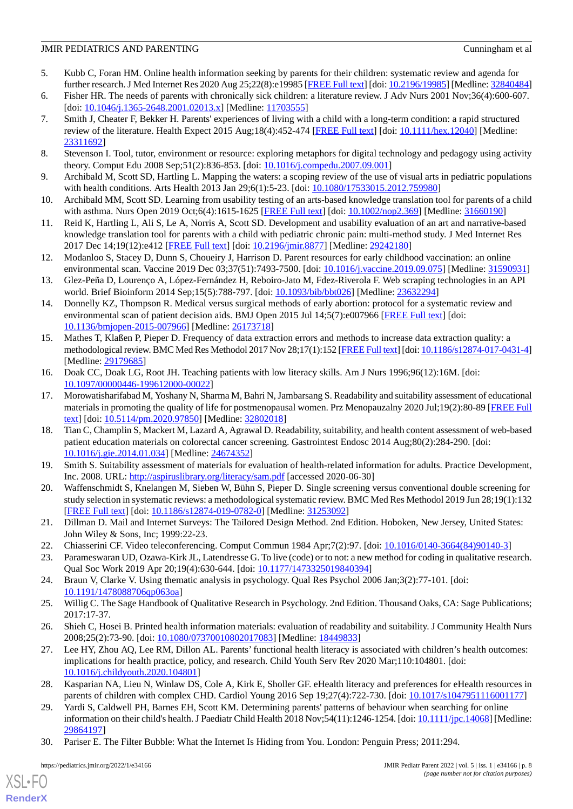- <span id="page-7-0"></span>5. Kubb C, Foran HM. Online health information seeking by parents for their children: systematic review and agenda for further research. J Med Internet Res 2020 Aug 25;22(8):e19985 [[FREE Full text](https://www.jmir.org/2020/8/e19985/)] [doi: [10.2196/19985\]](http://dx.doi.org/10.2196/19985) [Medline: [32840484\]](http://www.ncbi.nlm.nih.gov/entrez/query.fcgi?cmd=Retrieve&db=PubMed&list_uids=32840484&dopt=Abstract)
- <span id="page-7-2"></span><span id="page-7-1"></span>6. Fisher HR. The needs of parents with chronically sick children: a literature review. J Adv Nurs 2001 Nov;36(4):600-607. [doi: [10.1046/j.1365-2648.2001.02013.x](http://dx.doi.org/10.1046/j.1365-2648.2001.02013.x)] [Medline: [11703555](http://www.ncbi.nlm.nih.gov/entrez/query.fcgi?cmd=Retrieve&db=PubMed&list_uids=11703555&dopt=Abstract)]
- 7. Smith J, Cheater F, Bekker H. Parents' experiences of living with a child with a long-term condition: a rapid structured review of the literature. Health Expect 2015 Aug;18(4):452-474 [[FREE Full text](https://doi.org/10.1111/hex.12040)] [doi: [10.1111/hex.12040\]](http://dx.doi.org/10.1111/hex.12040) [Medline: [23311692](http://www.ncbi.nlm.nih.gov/entrez/query.fcgi?cmd=Retrieve&db=PubMed&list_uids=23311692&dopt=Abstract)]
- <span id="page-7-4"></span><span id="page-7-3"></span>8. Stevenson I. Tool, tutor, environment or resource: exploring metaphors for digital technology and pedagogy using activity theory. Comput Edu 2008 Sep;51(2):836-853. [doi: [10.1016/j.compedu.2007.09.001\]](http://dx.doi.org/10.1016/j.compedu.2007.09.001)
- <span id="page-7-5"></span>9. Archibald M, Scott SD, Hartling L. Mapping the waters: a scoping review of the use of visual arts in pediatric populations with health conditions. Arts Health 2013 Jan 29;6(1):5-23. [doi: [10.1080/17533015.2012.759980\]](http://dx.doi.org/10.1080/17533015.2012.759980)
- <span id="page-7-6"></span>10. Archibald MM, Scott SD. Learning from usability testing of an arts-based knowledge translation tool for parents of a child with asthma. Nurs Open 2019 Oct;6(4):1615-1625 [\[FREE Full text\]](https://doi.org/10.1002/nop2.369) [doi: [10.1002/nop2.369\]](http://dx.doi.org/10.1002/nop2.369) [Medline: [31660190\]](http://www.ncbi.nlm.nih.gov/entrez/query.fcgi?cmd=Retrieve&db=PubMed&list_uids=31660190&dopt=Abstract)
- <span id="page-7-7"></span>11. Reid K, Hartling L, Ali S, Le A, Norris A, Scott SD. Development and usability evaluation of an art and narrative-based knowledge translation tool for parents with a child with pediatric chronic pain: multi-method study. J Med Internet Res 2017 Dec 14;19(12):e412 [\[FREE Full text\]](https://www.jmir.org/2017/12/e412/) [doi: [10.2196/jmir.8877\]](http://dx.doi.org/10.2196/jmir.8877) [Medline: [29242180](http://www.ncbi.nlm.nih.gov/entrez/query.fcgi?cmd=Retrieve&db=PubMed&list_uids=29242180&dopt=Abstract)]
- <span id="page-7-8"></span>12. Modanloo S, Stacey D, Dunn S, Choueiry J, Harrison D. Parent resources for early childhood vaccination: an online environmental scan. Vaccine 2019 Dec 03;37(51):7493-7500. [doi: [10.1016/j.vaccine.2019.09.075\]](http://dx.doi.org/10.1016/j.vaccine.2019.09.075) [Medline: [31590931\]](http://www.ncbi.nlm.nih.gov/entrez/query.fcgi?cmd=Retrieve&db=PubMed&list_uids=31590931&dopt=Abstract)
- <span id="page-7-9"></span>13. Glez-Peña D, Lourenço A, López-Fernández H, Reboiro-Jato M, Fdez-Riverola F. Web scraping technologies in an API world. Brief Bioinform 2014 Sep;15(5):788-797. [doi: [10.1093/bib/bbt026](http://dx.doi.org/10.1093/bib/bbt026)] [Medline: [23632294\]](http://www.ncbi.nlm.nih.gov/entrez/query.fcgi?cmd=Retrieve&db=PubMed&list_uids=23632294&dopt=Abstract)
- <span id="page-7-10"></span>14. Donnelly KZ, Thompson R. Medical versus surgical methods of early abortion: protocol for a systematic review and environmental scan of patient decision aids. BMJ Open 2015 Jul 14;5(7):e007966 [\[FREE Full text\]](https://bmjopen.bmj.com/lookup/pmidlookup?view=long&pmid=26173718) [doi: [10.1136/bmjopen-2015-007966\]](http://dx.doi.org/10.1136/bmjopen-2015-007966) [Medline: [26173718](http://www.ncbi.nlm.nih.gov/entrez/query.fcgi?cmd=Retrieve&db=PubMed&list_uids=26173718&dopt=Abstract)]
- <span id="page-7-11"></span>15. Mathes T, Klaßen P, Pieper D. Frequency of data extraction errors and methods to increase data extraction quality: a methodological review. BMC Med Res Methodol 2017 Nov 28;17(1):152 [[FREE Full text\]](https://bmcmedresmethodol.biomedcentral.com/articles/10.1186/s12874-017-0431-4) [doi: [10.1186/s12874-017-0431-4](http://dx.doi.org/10.1186/s12874-017-0431-4)] [Medline: [29179685](http://www.ncbi.nlm.nih.gov/entrez/query.fcgi?cmd=Retrieve&db=PubMed&list_uids=29179685&dopt=Abstract)]
- <span id="page-7-12"></span>16. Doak CC, Doak LG, Root JH. Teaching patients with low literacy skills. Am J Nurs 1996;96(12):16M. [doi: [10.1097/00000446-199612000-00022](http://dx.doi.org/10.1097/00000446-199612000-00022)]
- <span id="page-7-13"></span>17. Morowatisharifabad M, Yoshany N, Sharma M, Bahri N, Jambarsang S. Readability and suitability assessment of educational materials in promoting the quality of life for postmenopausal women. Prz Menopauzalny 2020 Jul;19(2):80-89 [\[FREE Full](https://doi.org/10.5114/pm.2020.97850) [text](https://doi.org/10.5114/pm.2020.97850)] [doi: [10.5114/pm.2020.97850\]](http://dx.doi.org/10.5114/pm.2020.97850) [Medline: [32802018](http://www.ncbi.nlm.nih.gov/entrez/query.fcgi?cmd=Retrieve&db=PubMed&list_uids=32802018&dopt=Abstract)]
- <span id="page-7-15"></span><span id="page-7-14"></span>18. Tian C, Champlin S, Mackert M, Lazard A, Agrawal D. Readability, suitability, and health content assessment of web-based patient education materials on colorectal cancer screening. Gastrointest Endosc 2014 Aug;80(2):284-290. [doi: [10.1016/j.gie.2014.01.034\]](http://dx.doi.org/10.1016/j.gie.2014.01.034) [Medline: [24674352\]](http://www.ncbi.nlm.nih.gov/entrez/query.fcgi?cmd=Retrieve&db=PubMed&list_uids=24674352&dopt=Abstract)
- <span id="page-7-16"></span>19. Smith S. Suitability assessment of materials for evaluation of health-related information for adults. Practice Development, Inc. 2008. URL: <http://aspiruslibrary.org/literacy/sam.pdf> [accessed 2020-06-30]
- <span id="page-7-18"></span><span id="page-7-17"></span>20. Waffenschmidt S, Knelangen M, Sieben W, Bühn S, Pieper D. Single screening versus conventional double screening for study selection in systematic reviews: a methodological systematic review. BMC Med Res Methodol 2019 Jun 28;19(1):132 [[FREE Full text](https://bmcmedresmethodol.biomedcentral.com/articles/10.1186/s12874-019-0782-0)] [doi: [10.1186/s12874-019-0782-0\]](http://dx.doi.org/10.1186/s12874-019-0782-0) [Medline: [31253092](http://www.ncbi.nlm.nih.gov/entrez/query.fcgi?cmd=Retrieve&db=PubMed&list_uids=31253092&dopt=Abstract)]
- <span id="page-7-19"></span>21. Dillman D. Mail and Internet Surveys: The Tailored Design Method. 2nd Edition. Hoboken, New Jersey, United States: John Wiley & Sons, Inc; 1999:22-23.
- <span id="page-7-20"></span>22. Chiasserini CF. Video teleconferencing. Comput Commun 1984 Apr;7(2):97. [doi: [10.1016/0140-3664\(84\)90140-3](http://dx.doi.org/10.1016/0140-3664(84)90140-3)]
- <span id="page-7-21"></span>23. Parameswaran UD, Ozawa-Kirk JL, Latendresse G. To live (code) or to not: a new method for coding in qualitative research. Qual Soc Work 2019 Apr 20;19(4):630-644. [doi: [10.1177/1473325019840394](http://dx.doi.org/10.1177/1473325019840394)]
- <span id="page-7-22"></span>24. Braun V, Clarke V. Using thematic analysis in psychology. Qual Res Psychol 2006 Jan;3(2):77-101. [doi: [10.1191/1478088706qp063oa](http://dx.doi.org/10.1191/1478088706qp063oa)]
- 25. Willig C. The Sage Handbook of Qualitative Research in Psychology. 2nd Edition. Thousand Oaks, CA: Sage Publications; 2017:17-37.
- <span id="page-7-24"></span><span id="page-7-23"></span>26. Shieh C, Hosei B. Printed health information materials: evaluation of readability and suitability. J Community Health Nurs 2008;25(2):73-90. [doi: [10.1080/07370010802017083\]](http://dx.doi.org/10.1080/07370010802017083) [Medline: [18449833\]](http://www.ncbi.nlm.nih.gov/entrez/query.fcgi?cmd=Retrieve&db=PubMed&list_uids=18449833&dopt=Abstract)
- 27. Lee HY, Zhou AQ, Lee RM, Dillon AL. Parents' functional health literacy is associated with children's health outcomes: implications for health practice, policy, and research. Child Youth Serv Rev 2020 Mar;110:104801. [doi: [10.1016/j.childyouth.2020.104801\]](http://dx.doi.org/10.1016/j.childyouth.2020.104801)
- <span id="page-7-25"></span>28. Kasparian NA, Lieu N, Winlaw DS, Cole A, Kirk E, Sholler GF. eHealth literacy and preferences for eHealth resources in parents of children with complex CHD. Cardiol Young 2016 Sep 19;27(4):722-730. [doi: [10.1017/s1047951116001177](http://dx.doi.org/10.1017/s1047951116001177)]
- 29. Yardi S, Caldwell PH, Barnes EH, Scott KM. Determining parents' patterns of behaviour when searching for online information on their child's health. J Paediatr Child Health 2018 Nov; 54(11): 1246-1254. [doi: [10.1111/jpc.14068](http://dx.doi.org/10.1111/jpc.14068)] [Medline: [29864197](http://www.ncbi.nlm.nih.gov/entrez/query.fcgi?cmd=Retrieve&db=PubMed&list_uids=29864197&dopt=Abstract)]
- 30. Pariser E. The Filter Bubble: What the Internet Is Hiding from You. London: Penguin Press; 2011:294.

[XSL](http://www.w3.org/Style/XSL)•FO **[RenderX](http://www.renderx.com/)**